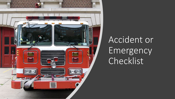

## Accident or Emergency Checklist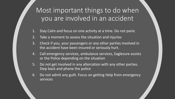Most important things to do when you are involved in an accident

- 1. Stay Calm and focus on one activity at a time. Do not panic
- 2. Take a moment to assess the situation and injuries
- 3. Check if you, your passengers or any other parties involved in the accident have been insured or seriously hurt.
- 4. Call emergency services, ambulance services, Eaglesure assists or the Police depending on the situation
- 5. Do not get involved in any altercation with any other parties. Step back and phone the police
- 6. Do not admit any guilt. Focus on getting Help from emergency services